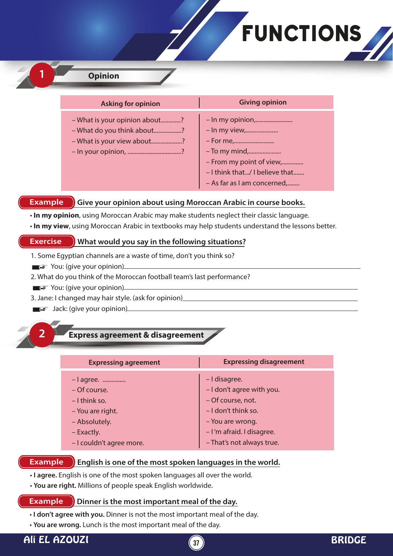# FUNCTIONS

# **1 Opinion**

| <b>Asking for opinion</b>                                                                                         |
|-------------------------------------------------------------------------------------------------------------------|
| - What is your opinion about?<br>- What do you think about?<br>- What is your view about?<br>- In your opinion, ? |

#### **Example S** Give your opinion about using Moroccan Arabic in course books.

• **In my opinion**, using Moroccan Arabic may make students neglect their classic language.

# • **In my view**, using Moroccan Arabic in textbooks may help students understand the lessons better.

#### **Exercise What would you say in the following situations?**

- 1. Some Egyptian channels are a waste of time, don't you think so?
- $\blacksquare$  $\blacktriangleright$  You: (give your opinion)
- 2. What do you think of the Moroccan football team's last performance?
- $\blacksquare$  $\blacktriangleright$  You: (give your opinion)
- 3. Jane: I changed may hair style. (ask for opinion)
- $\Box$  $\cong$  Jack: (give your opinion)

## **2 Express agreement & disagreement**

| <b>Expressing agreement</b> | <b>Expressing disagreement</b> |
|-----------------------------|--------------------------------|
| - l agree.                  | - I disagree.                  |
| – Of course.                | - I don't agree with you.      |
| $-1$ think so.              | - Of course, not.              |
| - You are right.            | $-$ I don't think so.          |
| - Absolutely.               | - You are wrong.               |
| - Exactly.                  | - I'm afraid. I disagree.      |
| - I couldn't agree more.    | - That's not always true.      |

#### **Example English is one of the most spoken languages in the world.**

- • **I agree.** English is one of the most spoken languages all over the world.
- **You are right.** Millions of people speak English worldwide.

#### **Example Dinner is the most important meal of the day.**

- **I don't agree with you.** Dinner is not the most important meal of the day.
- **You are wrong.** Lunch is the most important meal of the day.

# Ali EL AZOUZI **<sup>37</sup>** BRIDGE

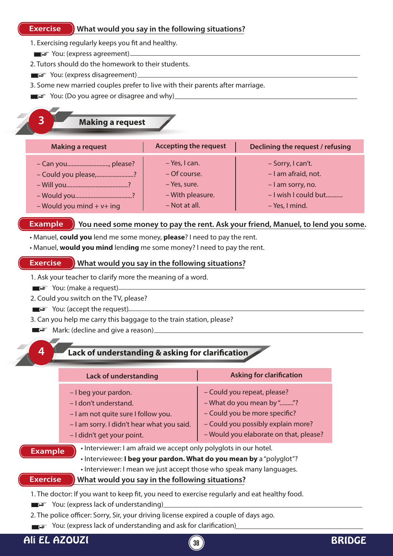#### **Exercise What would you say in the following situations?**

1. Exercising regularly keeps you fit and healthy.

- ■F You: (express agreement)
- 2. Tutors should do the homework to their students.
- ■F You: (express disagreement)
- 3. Some new married couples prefer to live with their parents after marriage.
- You: (Do you agree or disagree and why)

| <b>Making a request</b>                                                     |                                                                                    |                                                                                                         |
|-----------------------------------------------------------------------------|------------------------------------------------------------------------------------|---------------------------------------------------------------------------------------------------------|
| <b>Making a request</b>                                                     | <b>Accepting the request</b>                                                       | Declining the request / refusing                                                                        |
| - Can you, please?<br>- Could you please,?<br>$-$ Would you mind $+$ v+ ing | – Yes, I can.<br>– Of course.<br>- Yes, sure.<br>- With pleasure.<br>- Not at all. | - Sorry, I can't.<br>- I am afraid, not.<br>- I am sorry, no.<br>- I wish I could but<br>- Yes, I mind. |

#### **Example** State Rou need some money to pay the rent. Ask your friend, Manuel, to lend you some.

- Manuel, **could you** lend me some money, **please**? I need to pay the rent.
- Manuel, **would you mind** lend**ing** me some money? I need to pay the rent.

#### **Exercise What would you say in the following situations?**

- 1. Ask your teacher to clarify more the meaning of a word.
- $\blacksquare$  $\blacktriangleright$  You: (make a request)
- 2. Could you switch on the TV, please?
- $\blacksquare$  $\blacktriangleright$  You: (accept the request) $\blacksquare$
- 3. Can you help me carry this baggage to the train station, please?
- $\blacksquare$  $\blacktriangleright$  Mark: (decline and give a reason)
- 

### **Lack of understanding & asking for clarification**

|                                                                                                                                                                                                                                                                                                   | <b>Lack of understanding</b>                                                                                                                                     | <b>Asking for clarification</b>                                                                                                                                           |
|---------------------------------------------------------------------------------------------------------------------------------------------------------------------------------------------------------------------------------------------------------------------------------------------------|------------------------------------------------------------------------------------------------------------------------------------------------------------------|---------------------------------------------------------------------------------------------------------------------------------------------------------------------------|
|                                                                                                                                                                                                                                                                                                   | - I beg your pardon.<br>- I don't understand.<br>- I am not quite sure I follow you.<br>- I am sorry. I didn't hear what you said.<br>- I didn't get your point. | - Could you repeat, please?<br>- What do you mean by ""?<br>- Could you be more specific?<br>- Could you possibly explain more?<br>- Would you elaborate on that, please? |
| • Interviewer: I am afraid we accept only polyglots in our hotel.<br><b>Example</b><br>. Interviewee: I beg your pardon. What do you mean by a "polyglot"?<br>• Interviewer: I mean we just accept those who speak many languages.<br>What would you say in the following situations?<br>Exercise |                                                                                                                                                                  |                                                                                                                                                                           |

1. The doctor: If you want to keep fit, you need to exercise regularly and eat healthy food.

You: (express lack of understanding)

2. The police officer: Sorry, Sir, your driving license expired a couple of days ago.

You: (express lack of understanding and ask for clarification)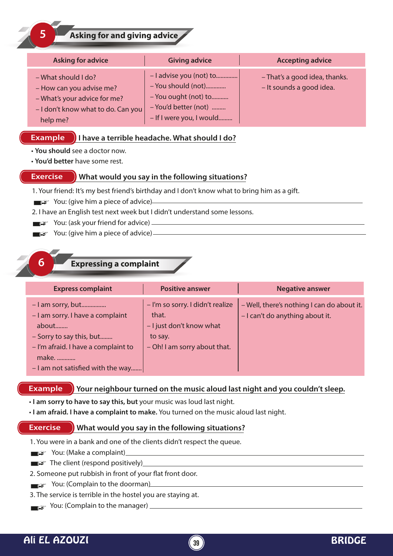**5 Asking for and giving advice**

| <b>Asking for advice</b>                                                                                                          | <b>Giving advice</b>                                                                                                      | <b>Accepting advice</b>                                   |
|-----------------------------------------------------------------------------------------------------------------------------------|---------------------------------------------------------------------------------------------------------------------------|-----------------------------------------------------------|
| - What should I do?<br>- How can you advise me?<br>- What's your advice for me?<br>- I don't know what to do. Can you<br>help me? | - I advise you (not) to<br>- You should (not)<br>- You ought (not) to<br>- You'd better (not)<br>- If I were you, I would | - That's a good idea, thanks.<br>- It sounds a good idea. |

#### **Example )** I have a terrible headache. What should I do?

- **You should** see a doctor now.
- **You'd better** have some rest.

#### **Exercise What would you say in the following situations?**

- 1. Your friend: It's my best friend's birthday and I don't know what to bring him as a gift.
- $\blacktriangleright$  You: (give him a piece of advice)
- 2. I have an English test next week but I didn't understand some lessons.
- $\blacksquare$  $\blacktriangleright$  You: (ask your friend for advice)  $\blacksquare$
- $\blacksquare$  $\blacksquare$  $\blacksquare$  $\blacksquare$  You: (give him a piece of advice)

# **6 Expressing a complaint**

| <b>Express complaint</b>                                                                                                                                                          | <b>Positive answer</b>                                                                                           | <b>Negative answer</b>                                                        |
|-----------------------------------------------------------------------------------------------------------------------------------------------------------------------------------|------------------------------------------------------------------------------------------------------------------|-------------------------------------------------------------------------------|
| $-$ l am sorry, but<br>- I am sorry. I have a complaint<br>about<br>- Sorry to say this, but<br>- I'm afraid. I have a complaint to<br>make.<br>- I am not satisfied with the way | - I'm so sorry. I didn't realize<br>that.<br>- I just don't know what<br>to say.<br>- Oh! I am sorry about that. | - Well, there's nothing I can do about it.<br>- I can't do anything about it. |

#### **Example Your neighbour turned on the music aloud last night and you couldn't sleep.**

- **I am sorry to have to say this, but** your music was loud last night.
- **I am afraid. I have a complaint to make.** You turned on the music aloud last night.

#### **Exercise What would you say in the following situations?**

1. You were in a bank and one of the clients didn't respect the queue.

- $\blacktriangleright$  You: (Make a complaint)
- $\blacksquare$  $\blacktriangleright$  The client (respond positively)

#### 2. Someone put rubbish in front of your flat front door.

- $\blacksquare$  You: (Complain to the doorman)
- 3. The service is terrible in the hostel you are staying at.
- $\blacksquare$  You: (Complain to the manager)  $\blacksquare$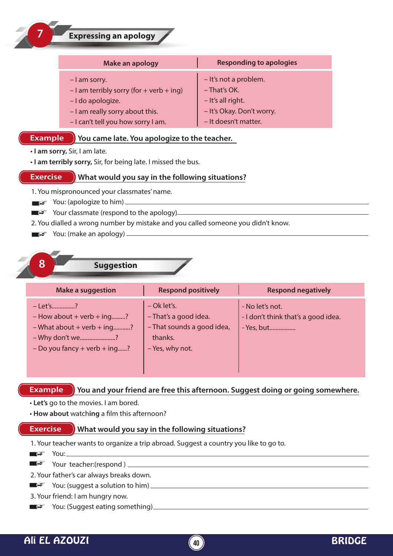| 7               | <b>Expressing an apology</b>                                                                                                                              |                                                                                                                 |
|-----------------|-----------------------------------------------------------------------------------------------------------------------------------------------------------|-----------------------------------------------------------------------------------------------------------------|
|                 | Make an apology                                                                                                                                           | <b>Responding to apologies</b>                                                                                  |
|                 | - I am sorry.<br>$-$ I am terribly sorry (for + verb + ing)<br>- I do apologize.<br>- I am really sorry about this.<br>- I can't tell you how sorry I am. | - It's not a problem.<br>- That's OK.<br>- It's all right.<br>- It's Okay. Don't worry.<br>- It doesn't matter. |
| <b>Example</b>  | You came late. You apologize to the teacher.                                                                                                              |                                                                                                                 |
|                 | · I am sorry, Sir, I am late.<br>. I am terribly sorry, Sir, for being late. I missed the bus.                                                            |                                                                                                                 |
| <b>Exercise</b> | What would you say in the following situations?                                                                                                           |                                                                                                                 |
|                 | 1. You mispronounced your classmates' name.                                                                                                               |                                                                                                                 |

 $\blacksquare$  $\blacktriangleright$  You: (apologize to him)

 $\sqrt{2}$ 

■ Your classmate (respond to the apology)

2. You dialled a wrong number by mistake and you called someone you didn't know.

 $\blacksquare$  $\blacktriangleright$  You: (make an apology)  $\blacksquare$ 



| <b>Make a suggestion</b>                                                                                                             | <b>Respond positively</b>                                                                          | <b>Respond negatively</b>                                            |
|--------------------------------------------------------------------------------------------------------------------------------------|----------------------------------------------------------------------------------------------------|----------------------------------------------------------------------|
| - Let's?<br>$-$ How about $+$ verb $+$ ing?<br>$-$ What about $+$ verb $+$ ing?<br>- Why don't we?<br>$-$ Do you fancy + verb + ing? | $-$ Ok let's.<br>- That's a good idea.<br>- That sounds a good idea,<br>thanks.<br>- Yes, why not. | - No let's not.<br>- I don't think that's a good idea.<br>- Yes, but |

#### **Example** > You and your friend are free this afternoon. Suggest doing or going somewhere.

- • **Let's** go to the movies. I am bored.
- How about watching a film this afternoon?

#### **Exercise What would you say in the following situations?**

1. Your teacher wants to organize a trip abroad. Suggest a country you like to go to.

 $\blacksquare$  $\blacktriangleright$  You: Your teacher:(respond ) 2. Your father's car always breaks down.

You: (suggest a solution to him)

- 3. Your friend: I am hungry now.
- $\blacksquare$  $\blacktriangleright$  You: (Suggest eating something)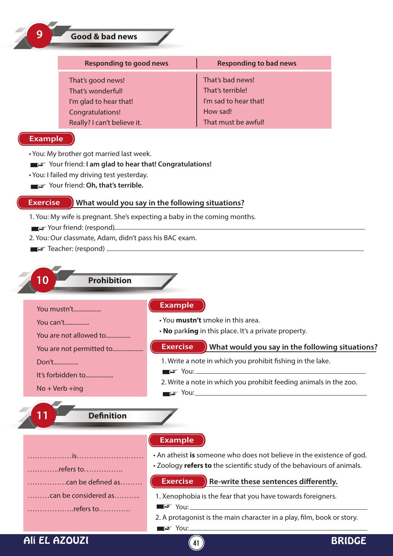|                   | <b>Responding to good news</b>                                                                                       |                 | <b>Responding to bad news</b>                                                                                                                                                                                                                                                                                                                                                                                                                                                                                                                                   |  |
|-------------------|----------------------------------------------------------------------------------------------------------------------|-----------------|-----------------------------------------------------------------------------------------------------------------------------------------------------------------------------------------------------------------------------------------------------------------------------------------------------------------------------------------------------------------------------------------------------------------------------------------------------------------------------------------------------------------------------------------------------------------|--|
|                   | That's good news!                                                                                                    |                 | That's bad news!                                                                                                                                                                                                                                                                                                                                                                                                                                                                                                                                                |  |
|                   | That's wonderful!                                                                                                    |                 | That's terrible!                                                                                                                                                                                                                                                                                                                                                                                                                                                                                                                                                |  |
|                   | I'm glad to hear that!                                                                                               |                 | I'm sad to hear that!                                                                                                                                                                                                                                                                                                                                                                                                                                                                                                                                           |  |
|                   | Congratulations!                                                                                                     |                 | How sad!                                                                                                                                                                                                                                                                                                                                                                                                                                                                                                                                                        |  |
|                   | Really? I can't believe it.                                                                                          |                 | That must be awful!                                                                                                                                                                                                                                                                                                                                                                                                                                                                                                                                             |  |
| <b>Example</b>    |                                                                                                                      |                 |                                                                                                                                                                                                                                                                                                                                                                                                                                                                                                                                                                 |  |
|                   | • You: My brother got married last week.                                                                             |                 |                                                                                                                                                                                                                                                                                                                                                                                                                                                                                                                                                                 |  |
|                   | ■ > Your friend: I am glad to hear that! Congratulations!                                                            |                 |                                                                                                                                                                                                                                                                                                                                                                                                                                                                                                                                                                 |  |
|                   | · You: I failed my driving test yesterday.<br>$\blacksquare$ $\blacktriangleright$ Your friend: Oh, that's terrible. |                 |                                                                                                                                                                                                                                                                                                                                                                                                                                                                                                                                                                 |  |
|                   |                                                                                                                      |                 |                                                                                                                                                                                                                                                                                                                                                                                                                                                                                                                                                                 |  |
| <b>Exercise</b>   | What would you say in the following situations?                                                                      |                 |                                                                                                                                                                                                                                                                                                                                                                                                                                                                                                                                                                 |  |
|                   | 1. You: My wife is pregnant. She's expecting a baby in the coming months.                                            |                 |                                                                                                                                                                                                                                                                                                                                                                                                                                                                                                                                                                 |  |
|                   | Your friend: (respond)                                                                                               |                 |                                                                                                                                                                                                                                                                                                                                                                                                                                                                                                                                                                 |  |
|                   | 2. You: Our classmate, Adam, didn't pass his BAC exam.                                                               |                 |                                                                                                                                                                                                                                                                                                                                                                                                                                                                                                                                                                 |  |
|                   |                                                                                                                      |                 |                                                                                                                                                                                                                                                                                                                                                                                                                                                                                                                                                                 |  |
|                   |                                                                                                                      |                 |                                                                                                                                                                                                                                                                                                                                                                                                                                                                                                                                                                 |  |
|                   |                                                                                                                      |                 |                                                                                                                                                                                                                                                                                                                                                                                                                                                                                                                                                                 |  |
|                   |                                                                                                                      |                 |                                                                                                                                                                                                                                                                                                                                                                                                                                                                                                                                                                 |  |
| n                 | <b>Prohibition</b>                                                                                                   |                 |                                                                                                                                                                                                                                                                                                                                                                                                                                                                                                                                                                 |  |
|                   |                                                                                                                      |                 |                                                                                                                                                                                                                                                                                                                                                                                                                                                                                                                                                                 |  |
|                   |                                                                                                                      | <b>Example</b>  |                                                                                                                                                                                                                                                                                                                                                                                                                                                                                                                                                                 |  |
|                   | You mustn't                                                                                                          |                 |                                                                                                                                                                                                                                                                                                                                                                                                                                                                                                                                                                 |  |
| You can't         |                                                                                                                      |                 | • You mustn't smoke in this area.                                                                                                                                                                                                                                                                                                                                                                                                                                                                                                                               |  |
|                   | You are not allowed to                                                                                               |                 | . No parking in this place. It's a private property.                                                                                                                                                                                                                                                                                                                                                                                                                                                                                                            |  |
|                   | You are not permitted to                                                                                             | <b>Exercise</b> | What would you say in the following situations?                                                                                                                                                                                                                                                                                                                                                                                                                                                                                                                 |  |
| Don't             |                                                                                                                      |                 | 1. Write a note in which you prohibit fishing in the lake.                                                                                                                                                                                                                                                                                                                                                                                                                                                                                                      |  |
|                   |                                                                                                                      |                 | ■ <del>S</del> You:———————————————————————                                                                                                                                                                                                                                                                                                                                                                                                                                                                                                                      |  |
|                   | It's forbidden to                                                                                                    |                 |                                                                                                                                                                                                                                                                                                                                                                                                                                                                                                                                                                 |  |
| $No + Verb + ing$ |                                                                                                                      |                 | 2. Write a note in which you prohibit feeding animals in the zoo.<br>$\blacksquare$ $\blacksquare$ $\blacksquare$ $\blacksquare$ $\blacksquare$ $\blacksquare$ $\blacksquare$ $\blacksquare$ $\blacksquare$ $\blacksquare$ $\blacksquare$ $\blacksquare$ $\blacksquare$ $\blacksquare$ $\blacksquare$ $\blacksquare$ $\blacksquare$ $\blacksquare$ $\blacksquare$ $\blacksquare$ $\blacksquare$ $\blacksquare$ $\blacksquare$ $\blacksquare$ $\blacksquare$ $\blacksquare$ $\blacksquare$ $\blacksquare$ $\blacksquare$ $\blacksquare$ $\blacksquare$ $\blacks$ |  |
|                   |                                                                                                                      |                 |                                                                                                                                                                                                                                                                                                                                                                                                                                                                                                                                                                 |  |
|                   |                                                                                                                      |                 |                                                                                                                                                                                                                                                                                                                                                                                                                                                                                                                                                                 |  |
|                   | <b>Definition</b>                                                                                                    |                 |                                                                                                                                                                                                                                                                                                                                                                                                                                                                                                                                                                 |  |
|                   |                                                                                                                      |                 |                                                                                                                                                                                                                                                                                                                                                                                                                                                                                                                                                                 |  |
|                   |                                                                                                                      | <b>Example</b>  |                                                                                                                                                                                                                                                                                                                                                                                                                                                                                                                                                                 |  |
|                   |                                                                                                                      |                 | . An atheist is someone who does not believe in the existence of god.                                                                                                                                                                                                                                                                                                                                                                                                                                                                                           |  |
|                   |                                                                                                                      |                 | . Zoology refers to the scientific study of the behaviours of animals.                                                                                                                                                                                                                                                                                                                                                                                                                                                                                          |  |
|                   | refers to                                                                                                            |                 |                                                                                                                                                                                                                                                                                                                                                                                                                                                                                                                                                                 |  |
|                   | can be defined as                                                                                                    | <b>Exercise</b> | Re-write these sentences differently.                                                                                                                                                                                                                                                                                                                                                                                                                                                                                                                           |  |
|                   | can be considered as                                                                                                 |                 | 1. Xenophobia is the fear that you have towards foreigners.                                                                                                                                                                                                                                                                                                                                                                                                                                                                                                     |  |
|                   | refers to                                                                                                            |                 | $\blacksquare$ $\cong$ You: $\blacksquare$ You:                                                                                                                                                                                                                                                                                                                                                                                                                                                                                                                 |  |
|                   |                                                                                                                      |                 | 2. A protagonist is the main character in a play, film, book or story.                                                                                                                                                                                                                                                                                                                                                                                                                                                                                          |  |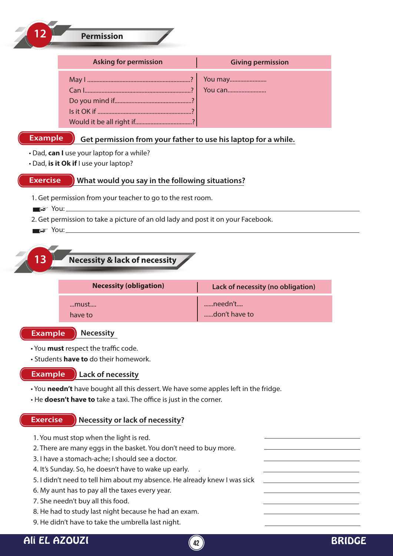| <b>Permission</b>                                                                                                                                                                                                                                                                                                                                                                                               |                                                                |
|-----------------------------------------------------------------------------------------------------------------------------------------------------------------------------------------------------------------------------------------------------------------------------------------------------------------------------------------------------------------------------------------------------------------|----------------------------------------------------------------|
| <b>Asking for permission</b>                                                                                                                                                                                                                                                                                                                                                                                    | <b>Giving permission</b>                                       |
|                                                                                                                                                                                                                                                                                                                                                                                                                 | You may<br>You can                                             |
| <b>Example</b><br>. Dad, can I use your laptop for a while?<br>. Dad, is it Ok if I use your laptop?                                                                                                                                                                                                                                                                                                            | Get permission from your father to use his laptop for a while. |
| <b>Exercise</b><br>What would you say in the following situations?<br>1. Get permission from your teacher to go to the rest room.<br>$\blacksquare \cong$ You:                                                                                                                                                                                                                                                  |                                                                |
| 2. Get permission to take a picture of an old lady and post it on your Facebook.                                                                                                                                                                                                                                                                                                                                |                                                                |
| 13<br><b>Necessity &amp; lack of necessity</b><br><b>Necessity (obligation)</b>                                                                                                                                                                                                                                                                                                                                 | Lack of necessity (no obligation)                              |
| …must….<br>have to                                                                                                                                                                                                                                                                                                                                                                                              | needn't<br>don't have to                                       |
| <b>Example</b><br><b>Necessity</b><br>• You must respect the traffic code.<br>• Students <b>have to</b> do their homework.<br><b>Example</b><br>Lack of necessity                                                                                                                                                                                                                                               |                                                                |
| . You needn't have bought all this dessert. We have some apples left in the fridge.<br>• He doesn't have to take a taxi. The office is just in the corner.                                                                                                                                                                                                                                                      |                                                                |
| <b>Exercise</b><br>Necessity or lack of necessity?<br>1. You must stop when the light is red.<br>2. There are many eggs in the basket. You don't need to buy more.<br>3. I have a stomach-ache; I should see a doctor.<br>4. It's Sunday. So, he doesn't have to wake up early.<br>5. I didn't need to tell him about my absence. He already knew I was sick<br>6. My aunt has to pay all the taxes every year. |                                                                |
| 7. She needn't buy all this food.                                                                                                                                                                                                                                                                                                                                                                               |                                                                |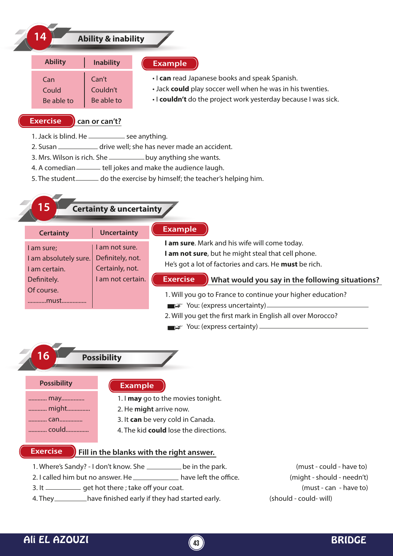